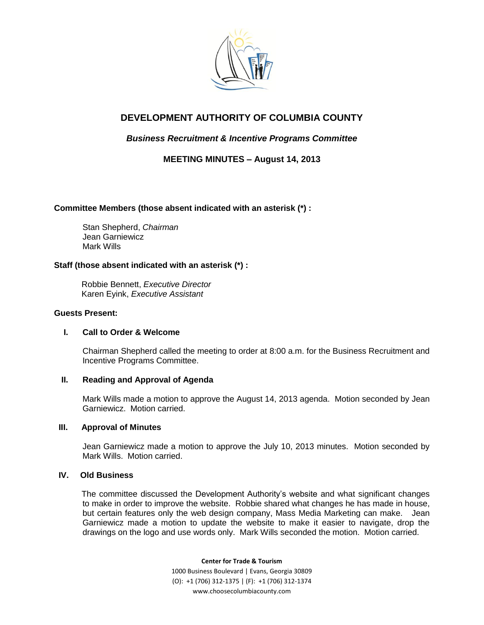

# **DEVELOPMENT AUTHORITY OF COLUMBIA COUNTY**

## *Business Recruitment & Incentive Programs Committee*

**MEETING MINUTES – August 14, 2013**

## **Committee Members (those absent indicated with an asterisk (\*) :**

Stan Shepherd, *Chairman* Jean Garniewicz Mark Wills

## **Staff (those absent indicated with an asterisk (\*) :**

Robbie Bennett, *Executive Director* Karen Eyink, *Executive Assistant*

#### **Guests Present:**

## **I. Call to Order & Welcome**

Chairman Shepherd called the meeting to order at 8:00 a.m. for the Business Recruitment and Incentive Programs Committee.

## **II. Reading and Approval of Agenda**

Mark Wills made a motion to approve the August 14, 2013 agenda. Motion seconded by Jean Garniewicz. Motion carried.

## **III. Approval of Minutes**

Jean Garniewicz made a motion to approve the July 10, 2013 minutes. Motion seconded by Mark Wills. Motion carried.

## **IV. Old Business**

 The committee discussed the Development Authority's website and what significant changes to make in order to improve the website. Robbie shared what changes he has made in house, but certain features only the web design company, Mass Media Marketing can make. Jean Garniewicz made a motion to update the website to make it easier to navigate, drop the drawings on the logo and use words only. Mark Wills seconded the motion. Motion carried.

> **Center for Trade & Tourism** 1000 Business Boulevard | Evans, Georgia 30809 (O): +1 (706) 312-1375 | (F): +1 (706) 312-1374 www.choosecolumbiacounty.com